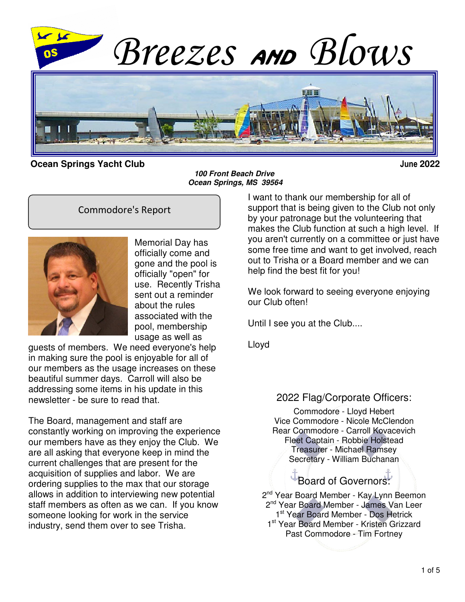

**Ocean Springs Yacht Club June 2022**

**100 Front Beach Drive Ocean Springs, MS 39564**

#### Commodore's Report



Memorial Day has officially come and gone and the pool is officially "open" for use. Recently Trisha sent out a reminder about the rules associated with the pool, membership usage as well as

guests of members. We need everyone's help in making sure the pool is enjoyable for all of our members as the usage increases on these beautiful summer days. Carroll will also be addressing some items in his update in this newsletter - be sure to read that.

The Board, management and staff are constantly working on improving the experience our members have as they enjoy the Club. We are all asking that everyone keep in mind the current challenges that are present for the acquisition of supplies and labor. We are ordering supplies to the max that our storage allows in addition to interviewing new potential staff members as often as we can. If you know someone looking for work in the service industry, send them over to see Trisha.

I want to thank our membership for all of support that is being given to the Club not only by your patronage but the volunteering that makes the Club function at such a high level. If you aren't currently on a committee or just have some free time and want to get involved, reach out to Trisha or a Board member and we can help find the best fit for you!

We look forward to seeing everyone enjoying our Club often!

Until I see you at the Club....

Lloyd

#### 2022 Flag/Corporate Officers:

Commodore - Lloyd Hebert Vice Commodore - Nicole McClendon Rear Commodore - Carroll Kovacevich Fleet Captain - Robbie Holstead Treasurer - Michael Ramsey Secretary - William Buchanan

Board of Governors:

2<sup>nd</sup> Year Board Member - Kay Lynn Beemon 2<sup>nd</sup> Year Board Member - James Van Leer 1st Year Board Member - Dos Hetrick 1<sup>st</sup> Year Board Member - Kristen Grizzard Past Commodore - Tim Fortney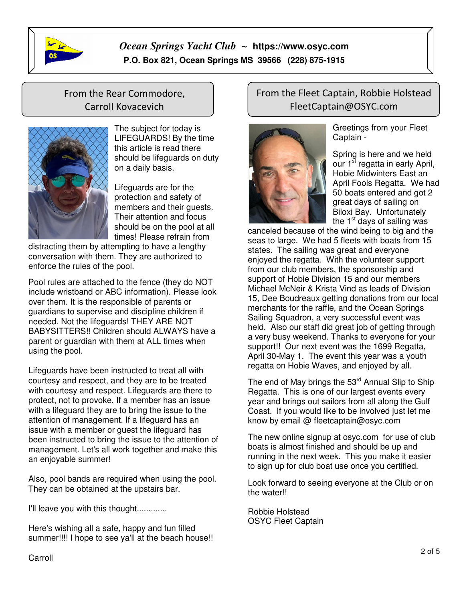

 $\overline{1}$ 

## From the Rear Commodore, Carroll Kovacevich



The subject for today is LIFEGUARDS! By the time this article is read there should be lifeguards on duty on a daily basis.

Lifeguards are for the protection and safety of members and their guests. Their attention and focus should be on the pool at all times! Please refrain from

distracting them by attempting to have a lengthy conversation with them. They are authorized to enforce the rules of the pool.

Pool rules are attached to the fence (they do NOT include wristband or ABC information). Please look over them. It is the responsible of parents or guardians to supervise and discipline children if needed. Not the lifeguards! THEY ARE NOT BABYSITTERS!! Children should ALWAYS have a parent or guardian with them at ALL times when using the pool.

Lifeguards have been instructed to treat all with courtesy and respect, and they are to be treated with courtesy and respect. Lifeguards are there to protect, not to provoke. If a member has an issue with a lifeguard they are to bring the issue to the attention of management. If a lifeguard has an issue with a member or guest the lifeguard has been instructed to bring the issue to the attention of management. Let's all work together and make this an enjoyable summer!

Also, pool bands are required when using the pool. They can be obtained at the upstairs bar.

I'll leave you with this thought.............

Here's wishing all a safe, happy and fun filled summer!!!! I hope to see ya'll at the beach house!!

#### From the Fleet Captain, Robbie Holstead FleetCaptain@OSYC.com



Greetings from your Fleet Captain -

Spring is here and we held our  $1^{\overline{st}}$  regatta in early April, Hobie Midwinters East an April Fools Regatta. We had 50 boats entered and got 2 great days of sailing on Biloxi Bay. Unfortunately the  $1<sup>st</sup>$  days of sailing was

canceled because of the wind being to big and the seas to large. We had 5 fleets with boats from 15 states. The sailing was great and everyone enjoyed the regatta. With the volunteer support from our club members, the sponsorship and support of Hobie Division 15 and our members Michael McNeir & Krista Vind as leads of Division 15, Dee Boudreaux getting donations from our local merchants for the raffle, and the Ocean Springs Sailing Squadron, a very successful event was held. Also our staff did great job of getting through a very busy weekend. Thanks to everyone for your support!! Our next event was the 1699 Regatta, April 30-May 1. The event this year was a youth regatta on Hobie Waves, and enjoyed by all.

The end of May brings the  $53<sup>rd</sup>$  Annual Slip to Ship Regatta. This is one of our largest events every year and brings out sailors from all along the Gulf Coast. If you would like to be involved just let me know by email @ fleetcaptain@osyc.com

The new online signup at osyc.com for use of club boats is almost finished and should be up and running in the next week. This you make it easier to sign up for club boat use once you certified.

Look forward to seeing everyone at the Club or on the water!!

Robbie Holstead OSYC Fleet Captain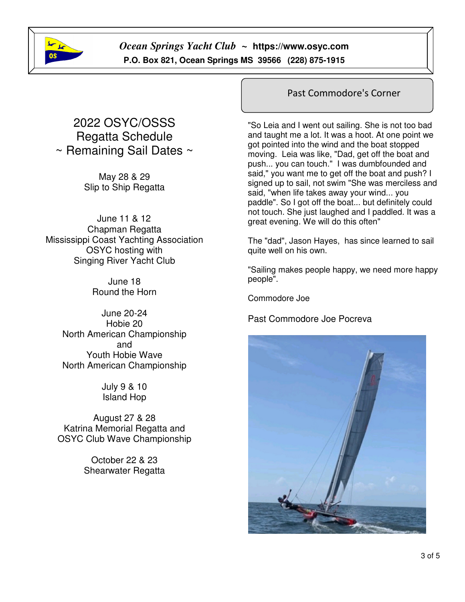

# 2022 OSYC/OSSS Regatta Schedule  $\sim$  Remaining Sail Dates  $\sim$

May 28 & 29 Slip to Ship Regatta

June 11 & 12 Chapman Regatta Mississippi Coast Yachting Association OSYC hosting with Singing River Yacht Club

> June 18 Round the Horn

June 20-24 Hobie 20 North American Championship and Youth Hobie Wave North American Championship

> July 9 & 10 Island Hop

August 27 & 28 Katrina Memorial Regatta and OSYC Club Wave Championship

> October 22 & 23 Shearwater Regatta

#### Past Commodore's Corner

"So Leia and I went out sailing. She is not too bad and taught me a lot. It was a hoot. At one point we got pointed into the wind and the boat stopped moving. Leia was like, "Dad, get off the boat and push... you can touch." I was dumbfounded and said," you want me to get off the boat and push? I signed up to sail, not swim "She was merciless and said, "when life takes away your wind... you paddle". So I got off the boat... but definitely could not touch. She just laughed and I paddled. It was a great evening. We will do this often"

The "dad", Jason Hayes, has since learned to sail quite well on his own.

"Sailing makes people happy, we need more happy people".

Commodore Joe

Past Commodore Joe Pocreva

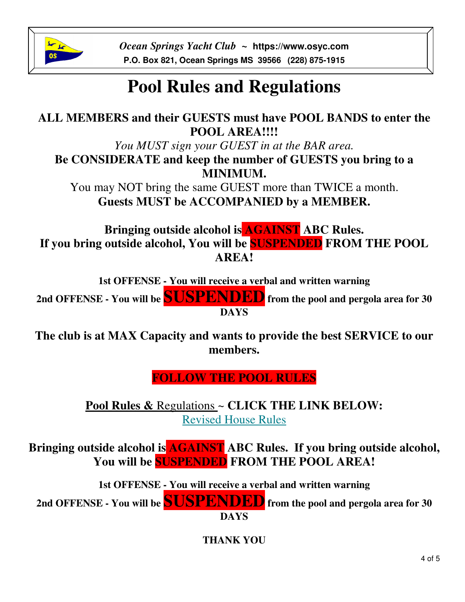

# **Pool Rules and Regulations**

# **ALL MEMBERS and their GUESTS must have POOL BANDS to enter the POOL AREA!!!!**

*You MUST sign your GUEST in at the BAR area.* **Be CONSIDERATE and keep the number of GUESTS you bring to a MINIMUM.**

You may NOT bring the same GUEST more than TWICE a month. **Guests MUST be ACCOMPANIED by a MEMBER.**

**Bringing outside alcohol is AGAINST ABC Rules. If you bring outside alcohol, You will be SUSPENDED FROM THE POOL AREA!**

**1st OFFENSE - You will receive a verbal and written warning** 

**2nd OFFENSE - You will be SUSPENDED from the pool and pergola area for 30 DAYS**

**The club is at MAX Capacity and wants to provide the best SERVICE to our members.** 

**FOLLOW THE POOL RULES**

**Pool Rules &** Regulations ~ **CLICK THE LINK BELOW:** Revised House Rules

**Bringing outside alcohol is AGAINST ABC Rules. If you bring outside alcohol, You will be SUSPENDED FROM THE POOL AREA!**

**1st OFFENSE - You will receive a verbal and written warning** 

**2nd OFFENSE - You will be SUSPENDED from the pool and pergola area for 30 DAYS** 

**THANK YOU**